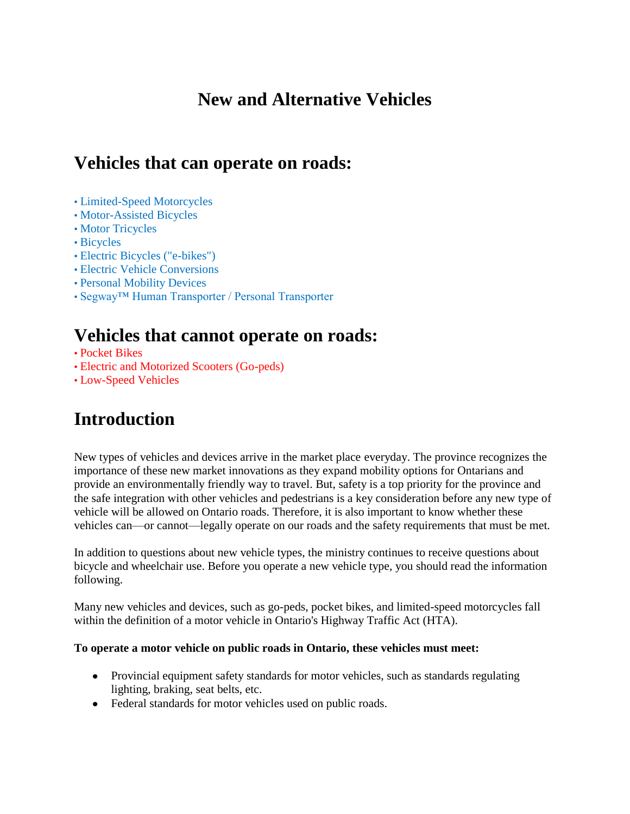# **New and Alternative Vehicles**

# **Vehicles that can operate on roads:**

- Limited-Speed Motorcycles
- Motor-Assisted Bicycles
- Motor Tricycles
- Bicycles
- Electric Bicycles ("e-bikes")
- Electric Vehicle Conversions
- Personal Mobility Devices
- Segway™ Human Transporter / Personal Transporter

# **Vehicles that cannot operate on roads:**

- Pocket Bikes
- Electric and Motorized Scooters (Go-peds)
- Low-Speed Vehicles

# **Introduction**

New types of vehicles and devices arrive in the market place everyday. The province recognizes the importance of these new market innovations as they expand mobility options for Ontarians and provide an environmentally friendly way to travel. But, safety is a top priority for the province and the safe integration with other vehicles and pedestrians is a key consideration before any new type of vehicle will be allowed on Ontario roads. Therefore, it is also important to know whether these vehicles can—or cannot—legally operate on our roads and the safety requirements that must be met.

In addition to questions about new vehicle types, the ministry continues to receive questions about bicycle and wheelchair use. Before you operate a new vehicle type, you should read the information following.

Many new vehicles and devices, such as go-peds, pocket bikes, and limited-speed motorcycles fall within the definition of a motor vehicle in Ontario's Highway Traffic Act (HTA).

#### **To operate a motor vehicle on public roads in Ontario, these vehicles must meet:**

- Provincial equipment safety standards for motor vehicles, such as standards regulating lighting, braking, seat belts, etc.
- Federal standards for motor vehicles used on public roads.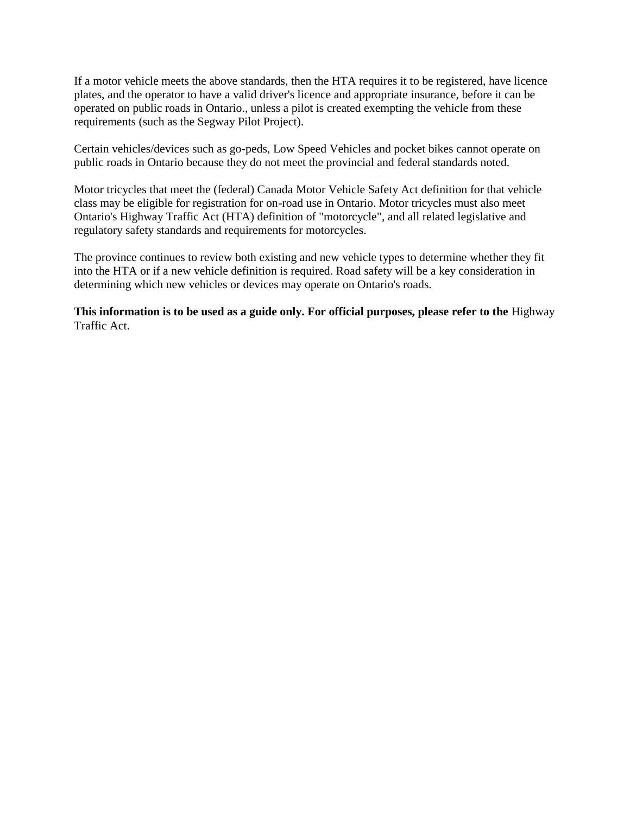If a motor vehicle meets the above standards, then the HTA requires it to be registered, have licence plates, and the operator to have a valid driver's licence and appropriate insurance, before it can be operated on public roads in Ontario., unless a pilot is created exempting the vehicle from these requirements (such as the Segway Pilot Project).

Certain vehicles/devices such as go-peds, Low Speed Vehicles and pocket bikes cannot operate on public roads in Ontario because they do not meet the provincial and federal standards noted.

Motor tricycles that meet the (federal) Canada Motor Vehicle Safety Act definition for that vehicle class may be eligible for registration for on-road use in Ontario. Motor tricycles must also meet Ontario's Highway Traffic Act (HTA) definition of "motorcycle", and all related legislative and regulatory safety standards and requirements for motorcycles.

The province continues to review both existing and new vehicle types to determine whether they fit into the HTA or if a new vehicle definition is required. Road safety will be a key consideration in determining which new vehicles or devices may operate on Ontario's roads.

**This information is to be used as a guide only. For official purposes, please refer to the** Highway Traffic Act.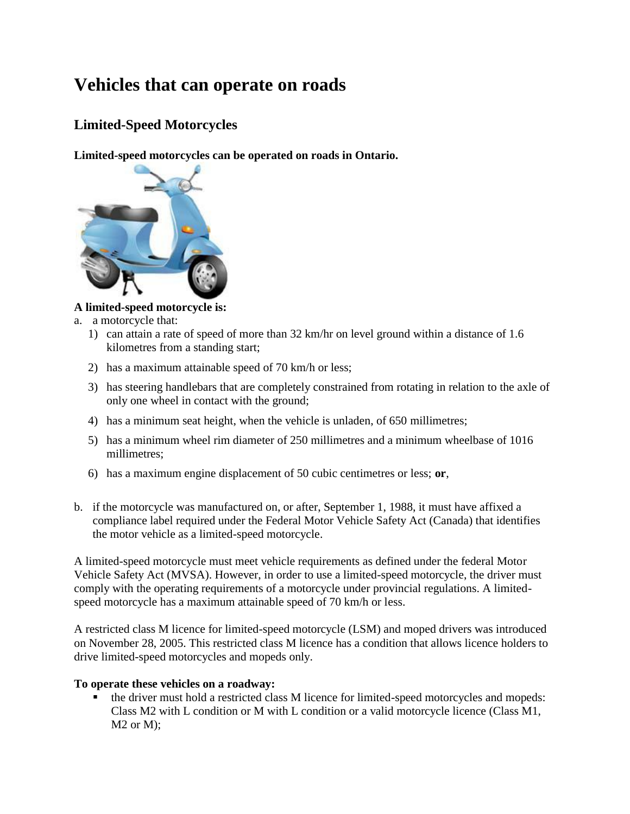# **Vehicles that can operate on roads**

## **Limited-Speed Motorcycles**

**Limited-speed motorcycles can be operated on roads in Ontario.** 



### **A limited-speed motorcycle is:**

- a. a motorcycle that:
	- 1) can attain a rate of speed of more than 32 km/hr on level ground within a distance of 1.6 kilometres from a standing start;
	- 2) has a maximum attainable speed of 70 km/h or less;
	- 3) has steering handlebars that are completely constrained from rotating in relation to the axle of only one wheel in contact with the ground;
	- 4) has a minimum seat height, when the vehicle is unladen, of 650 millimetres;
	- 5) has a minimum wheel rim diameter of 250 millimetres and a minimum wheelbase of 1016 millimetres;
	- 6) has a maximum engine displacement of 50 cubic centimetres or less; **or**,
- b. if the motorcycle was manufactured on, or after, September 1, 1988, it must have affixed a compliance label required under the Federal Motor Vehicle Safety Act (Canada) that identifies the motor vehicle as a limited-speed motorcycle.

A limited-speed motorcycle must meet vehicle requirements as defined under the federal Motor Vehicle Safety Act (MVSA). However, in order to use a limited-speed motorcycle, the driver must comply with the operating requirements of a motorcycle under provincial regulations. A limitedspeed motorcycle has a maximum attainable speed of 70 km/h or less.

A restricted class M licence for limited-speed motorcycle (LSM) and moped drivers was introduced on November 28, 2005. This restricted class M licence has a condition that allows licence holders to drive limited-speed motorcycles and mopeds only.

#### **To operate these vehicles on a roadway:**

 the driver must hold a restricted class M licence for limited-speed motorcycles and mopeds: Class M2 with L condition or M with L condition or a valid motorcycle licence (Class M1, M2 or M);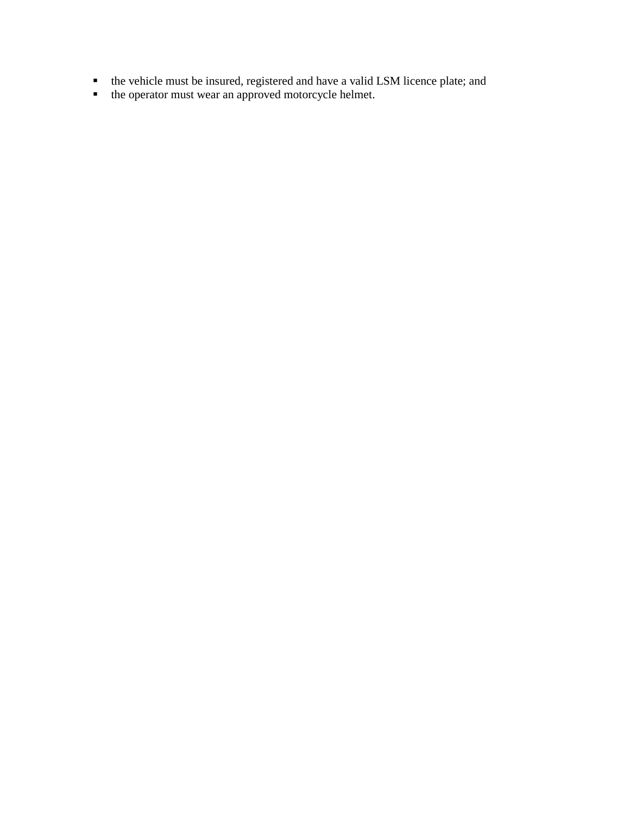- the vehicle must be insured, registered and have a valid LSM licence plate; and
- the operator must wear an approved motorcycle helmet.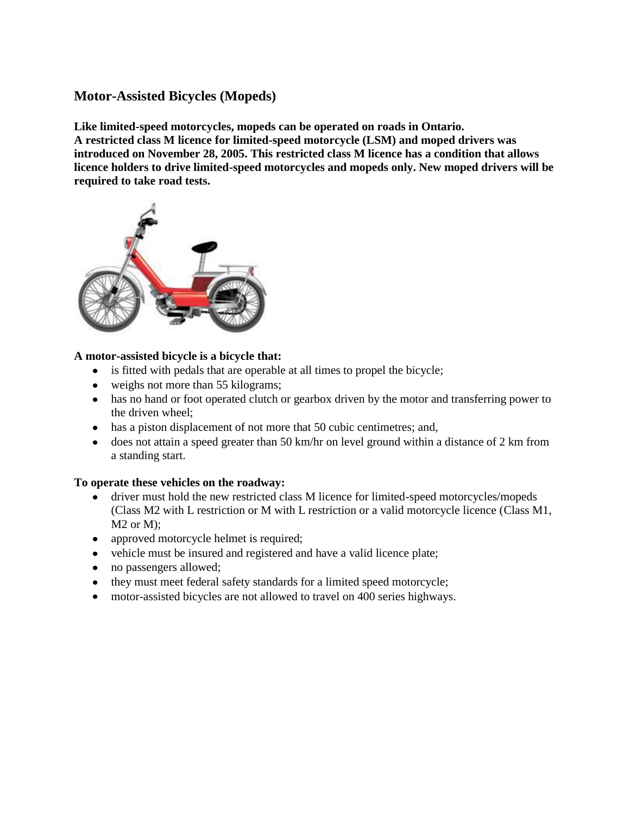## **Motor-Assisted Bicycles (Mopeds)**

**Like limited-speed motorcycles, mopeds can be operated on roads in Ontario. A restricted class M licence for limited-speed motorcycle (LSM) and moped drivers was introduced on November 28, 2005. This restricted class M licence has a condition that allows licence holders to drive limited-speed motorcycles and mopeds only. New moped drivers will be required to take road tests.**



### **A motor-assisted bicycle is a bicycle that:**

- is fitted with pedals that are operable at all times to propel the bicycle;
- weighs not more than 55 kilograms;
- has no hand or foot operated clutch or gearbox driven by the motor and transferring power to the driven wheel;
- has a piston displacement of not more that 50 cubic centimetres; and,
- does not attain a speed greater than 50 km/hr on level ground within a distance of 2 km from a standing start.

#### **To operate these vehicles on the roadway:**

- driver must hold the new restricted class M licence for limited-speed motorcycles/mopeds  $\bullet$ (Class M2 with L restriction or M with L restriction or a valid motorcycle licence (Class M1, M2 or M);
- approved motorcycle helmet is required;
- vehicle must be insured and registered and have a valid licence plate;
- no passengers allowed;
- they must meet federal safety standards for a limited speed motorcycle;
- motor-assisted bicycles are not allowed to travel on 400 series highways.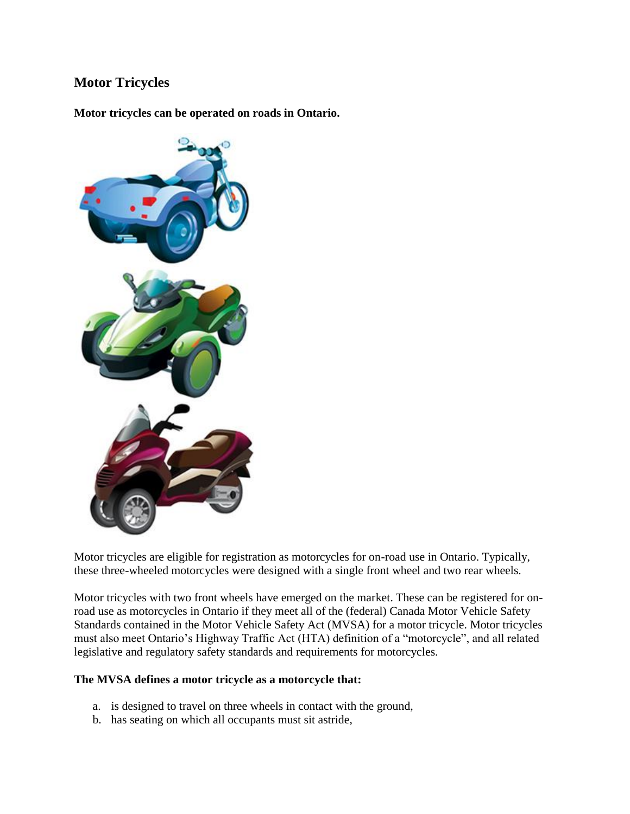## **Motor Tricycles**

**Motor tricycles can be operated on roads in Ontario.** 



Motor tricycles are eligible for registration as motorcycles for on-road use in Ontario. Typically, these three-wheeled motorcycles were designed with a single front wheel and two rear wheels.

Motor tricycles with two front wheels have emerged on the market. These can be registered for onroad use as motorcycles in Ontario if they meet all of the (federal) Canada Motor Vehicle Safety Standards contained in the Motor Vehicle Safety Act (MVSA) for a motor tricycle. Motor tricycles must also meet Ontario's Highway Traffic Act (HTA) definition of a "motorcycle", and all related legislative and regulatory safety standards and requirements for motorcycles.

#### **The MVSA defines a motor tricycle as a motorcycle that:**

- a. is designed to travel on three wheels in contact with the ground,
- b. has seating on which all occupants must sit astride,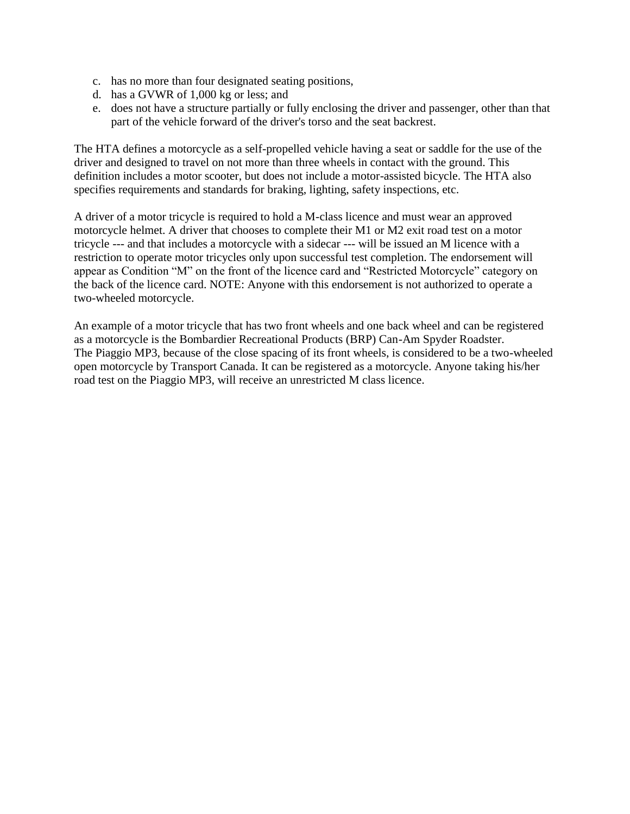- c. has no more than four designated seating positions,
- d. has a GVWR of 1,000 kg or less; and
- e. does not have a structure partially or fully enclosing the driver and passenger, other than that part of the vehicle forward of the driver's torso and the seat backrest.

The HTA defines a motorcycle as a self-propelled vehicle having a seat or saddle for the use of the driver and designed to travel on not more than three wheels in contact with the ground. This definition includes a motor scooter, but does not include a motor-assisted bicycle. The HTA also specifies requirements and standards for braking, lighting, safety inspections, etc.

A driver of a motor tricycle is required to hold a M-class licence and must wear an approved motorcycle helmet. A driver that chooses to complete their M1 or M2 exit road test on a motor tricycle --- and that includes a motorcycle with a sidecar --- will be issued an M licence with a restriction to operate motor tricycles only upon successful test completion. The endorsement will appear as Condition "M" on the front of the licence card and "Restricted Motorcycle" category on the back of the licence card. NOTE: Anyone with this endorsement is not authorized to operate a two-wheeled motorcycle.

An example of a motor tricycle that has two front wheels and one back wheel and can be registered as a motorcycle is the Bombardier Recreational Products (BRP) Can-Am Spyder Roadster. The Piaggio MP3, because of the close spacing of its front wheels, is considered to be a two-wheeled open motorcycle by Transport Canada. It can be registered as a motorcycle. Anyone taking his/her road test on the Piaggio MP3, will receive an unrestricted M class licence.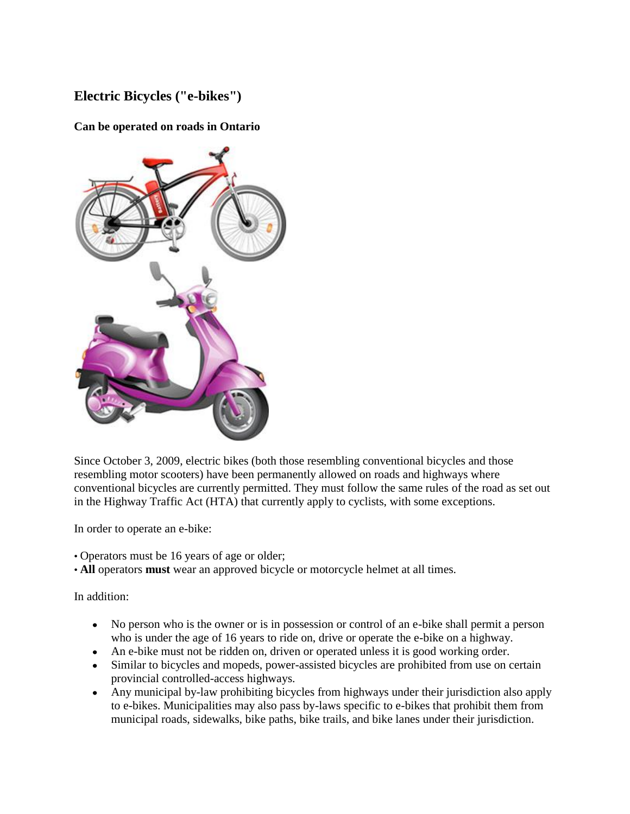# **Electric Bicycles ("e-bikes")**

### **Can be operated on roads in Ontario**



Since October 3, 2009, electric bikes (both those resembling conventional bicycles and those resembling motor scooters) have been permanently allowed on roads and highways where conventional bicycles are currently permitted. They must follow the same rules of the road as set out in the Highway Traffic Act (HTA) that currently apply to cyclists, with some exceptions.

In order to operate an e-bike:

- Operators must be 16 years of age or older;
- **All** operators **must** wear an approved bicycle or motorcycle helmet at all times.

In addition:

- No person who is the owner or is in possession or control of an e-bike shall permit a person who is under the age of 16 years to ride on, drive or operate the e-bike on a highway.
- An e-bike must not be ridden on, driven or operated unless it is good working order.
- Similar to bicycles and mopeds, power-assisted bicycles are prohibited from use on certain provincial controlled-access highways.
- Any municipal by-law prohibiting bicycles from highways under their jurisdiction also apply  $\bullet$ to e-bikes. Municipalities may also pass by-laws specific to e-bikes that prohibit them from municipal roads, sidewalks, bike paths, bike trails, and bike lanes under their jurisdiction.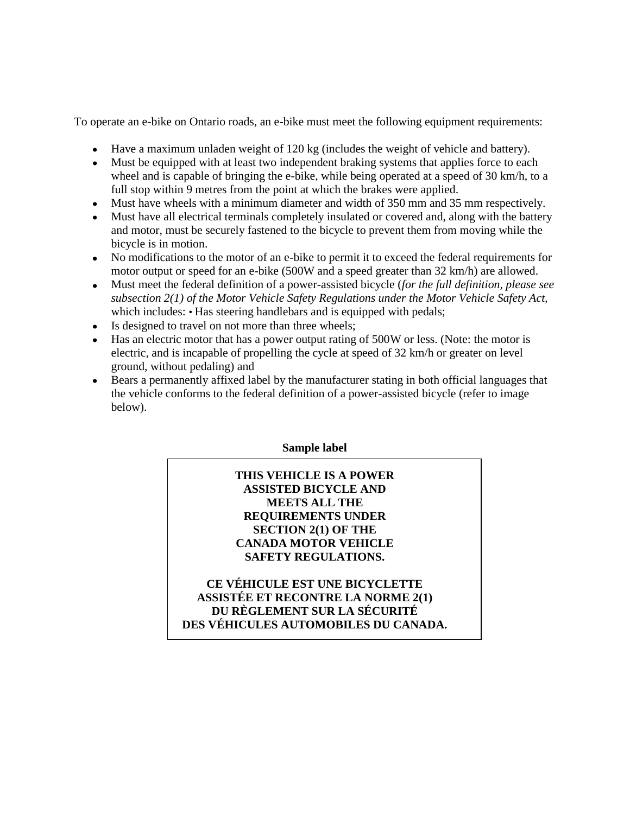To operate an e-bike on Ontario roads, an e-bike must meet the following equipment requirements:

- Have a maximum unladen weight of 120 kg (includes the weight of vehicle and battery).
- Must be equipped with at least two independent braking systems that applies force to each wheel and is capable of bringing the e-bike, while being operated at a speed of 30 km/h, to a full stop within 9 metres from the point at which the brakes were applied.
- Must have wheels with a minimum diameter and width of 350 mm and 35 mm respectively.
- Must have all electrical terminals completely insulated or covered and, along with the battery and motor, must be securely fastened to the bicycle to prevent them from moving while the bicycle is in motion.
- No modifications to the motor of an e-bike to permit it to exceed the federal requirements for motor output or speed for an e-bike (500W and a speed greater than 32 km/h) are allowed.
- Must meet the federal definition of a power-assisted bicycle (*for the full definition, please see subsection 2(1) of the Motor Vehicle Safety Regulations under the Motor Vehicle Safety Act,*  which includes: • Has steering handlebars and is equipped with pedals;
- Is designed to travel on not more than three wheels;
- Has an electric motor that has a power output rating of 500W or less. (Note: the motor is electric, and is incapable of propelling the cycle at speed of 32 km/h or greater on level ground, without pedaling) and
- Bears a permanently affixed label by the manufacturer stating in both official languages that  $\bullet$ the vehicle conforms to the federal definition of a power-assisted bicycle (refer to image below).

#### **Sample label**

### **THIS VEHICLE IS A POWER ASSISTED BICYCLE AND MEETS ALL THE REQUIREMENTS UNDER SECTION 2(1) OF THE CANADA MOTOR VEHICLE SAFETY REGULATIONS.**

**CE VÉHICULE EST UNE BICYCLETTE ASSISTÉE ET RECONTRE LA NORME 2(1) DU RÈGLEMENT SUR LA SÉCURITÉ DES VÉHICULES AUTOMOBILES DU CANADA.**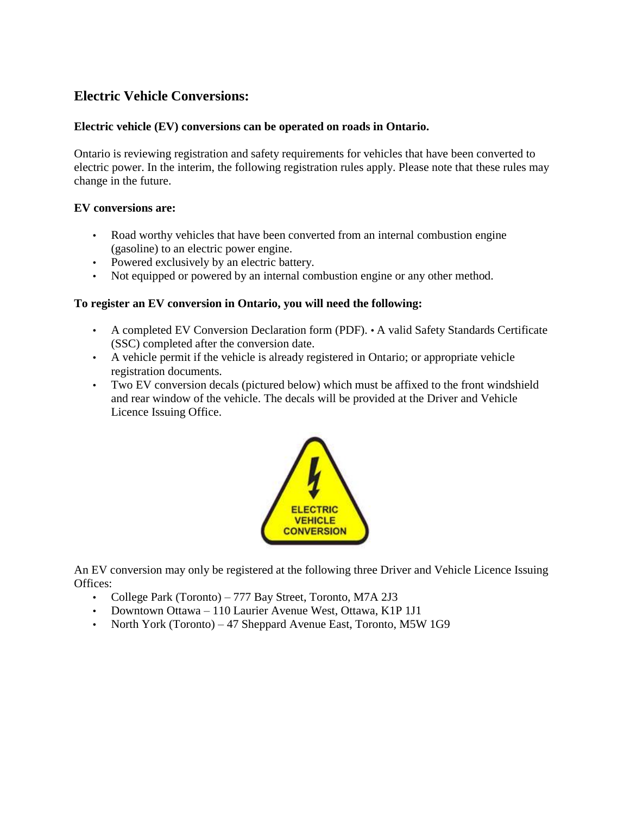## **Electric Vehicle Conversions:**

#### **Electric vehicle (EV) conversions can be operated on roads in Ontario.**

Ontario is reviewing registration and safety requirements for vehicles that have been converted to electric power. In the interim, the following registration rules apply. Please note that these rules may change in the future.

#### **EV conversions are:**

- Road worthy vehicles that have been converted from an internal combustion engine (gasoline) to an electric power engine.
- Powered exclusively by an electric battery.
- Not equipped or powered by an internal combustion engine or any other method.

#### **To register an EV conversion in Ontario, you will need the following:**

- A completed EV Conversion Declaration form (PDF). A valid Safety Standards Certificate (SSC) completed after the conversion date.
- A vehicle permit if the vehicle is already registered in Ontario; or appropriate vehicle registration documents.
- Two EV conversion decals (pictured below) which must be affixed to the front windshield and rear window of the vehicle. The decals will be provided at the Driver and Vehicle Licence Issuing Office.



An EV conversion may only be registered at the following three Driver and Vehicle Licence Issuing Offices:

- College Park (Toronto) 777 Bay Street, Toronto, M7A 2J3
- Downtown Ottawa 110 Laurier Avenue West, Ottawa, K1P 1J1
- North York (Toronto) 47 Sheppard Avenue East, Toronto, M5W 1G9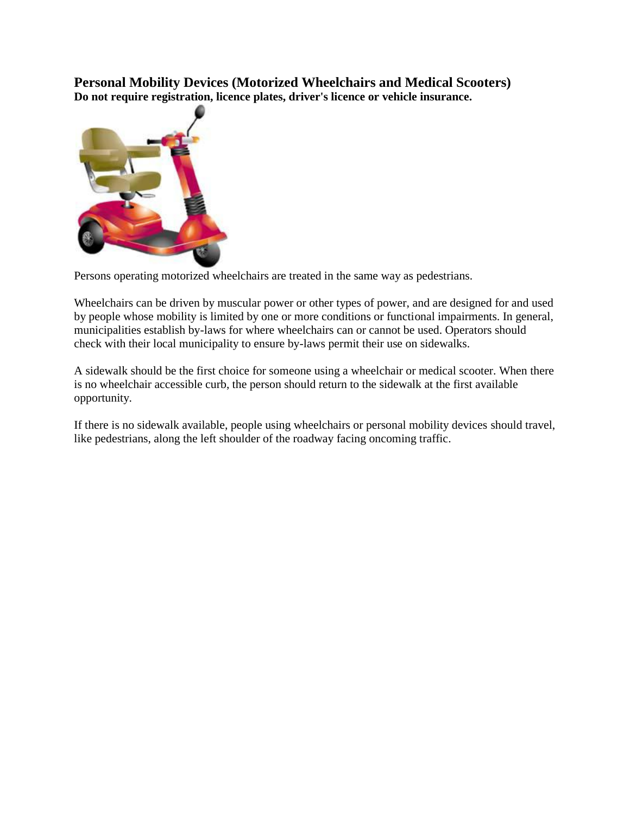**Personal Mobility Devices (Motorized Wheelchairs and Medical Scooters) Do not require registration, licence plates, driver's licence or vehicle insurance.** 



Persons operating motorized wheelchairs are treated in the same way as pedestrians.

Wheelchairs can be driven by muscular power or other types of power, and are designed for and used by people whose mobility is limited by one or more conditions or functional impairments. In general, municipalities establish by-laws for where wheelchairs can or cannot be used. Operators should check with their local municipality to ensure by-laws permit their use on sidewalks.

A sidewalk should be the first choice for someone using a wheelchair or medical scooter. When there is no wheelchair accessible curb, the person should return to the sidewalk at the first available opportunity.

If there is no sidewalk available, people using wheelchairs or personal mobility devices should travel, like pedestrians, along the left shoulder of the roadway facing oncoming traffic.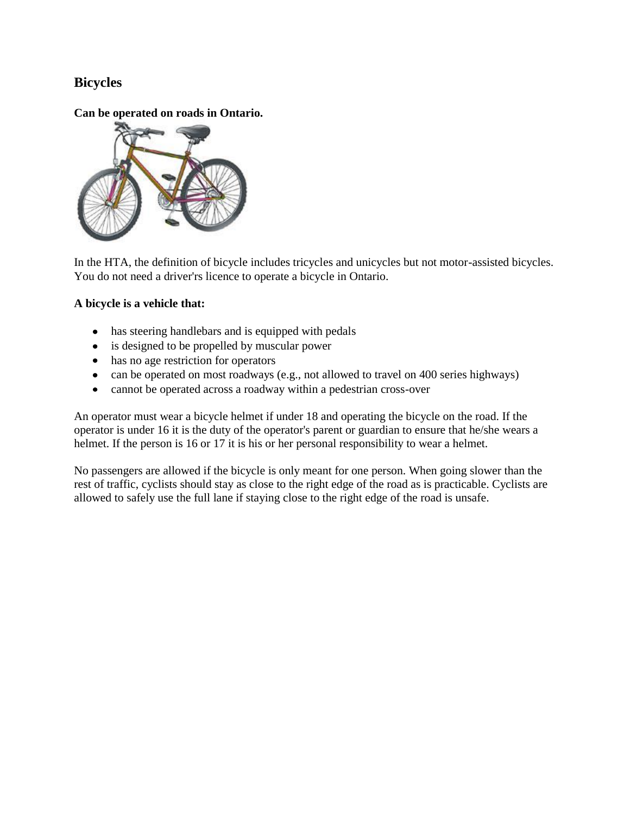## **Bicycles**

**Can be operated on roads in Ontario.** 



In the HTA, the definition of bicycle includes tricycles and unicycles but not motor-assisted bicycles. You do not need a driver'rs licence to operate a bicycle in Ontario.

### **A bicycle is a vehicle that:**

- has steering handlebars and is equipped with pedals
- is designed to be propelled by muscular power
- has no age restriction for operators
- can be operated on most roadways (e.g., not allowed to travel on 400 series highways)
- cannot be operated across a roadway within a pedestrian cross-over

An operator must wear a bicycle helmet if under 18 and operating the bicycle on the road. If the operator is under 16 it is the duty of the operator's parent or guardian to ensure that he/she wears a helmet. If the person is 16 or 17 it is his or her personal responsibility to wear a helmet.

No passengers are allowed if the bicycle is only meant for one person. When going slower than the rest of traffic, cyclists should stay as close to the right edge of the road as is practicable. Cyclists are allowed to safely use the full lane if staying close to the right edge of the road is unsafe.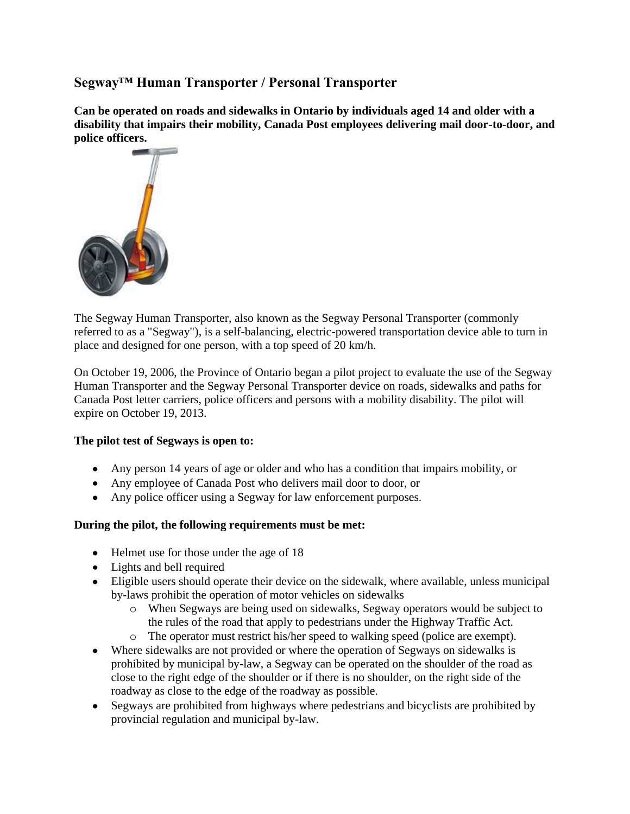## **Segway™ Human Transporter / Personal Transporter**

**Can be operated on roads and sidewalks in Ontario by individuals aged 14 and older with a disability that impairs their mobility, Canada Post employees delivering mail door-to-door, and police officers.** 



The Segway Human Transporter, also known as the Segway Personal Transporter (commonly referred to as a "Segway"), is a self-balancing, electric-powered transportation device able to turn in place and designed for one person, with a top speed of 20 km/h.

On October 19, 2006, the Province of Ontario began a pilot project to evaluate the use of the Segway Human Transporter and the Segway Personal Transporter device on roads, sidewalks and paths for Canada Post letter carriers, police officers and persons with a mobility disability. The pilot will expire on October 19, 2013.

#### **The pilot test of Segways is open to:**

- Any person 14 years of age or older and who has a condition that impairs mobility, or
- Any employee of Canada Post who delivers mail door to door, or
- Any police officer using a Segway for law enforcement purposes.

#### **During the pilot, the following requirements must be met:**

- Helmet use for those under the age of 18
- Lights and bell required
- Eligible users should operate their device on the sidewalk, where available, unless municipal by-laws prohibit the operation of motor vehicles on sidewalks
	- o When Segways are being used on sidewalks, Segway operators would be subject to the rules of the road that apply to pedestrians under the Highway Traffic Act.
	- o The operator must restrict his/her speed to walking speed (police are exempt).
- Where sidewalks are not provided or where the operation of Segways on sidewalks is prohibited by municipal by-law, a Segway can be operated on the shoulder of the road as close to the right edge of the shoulder or if there is no shoulder, on the right side of the roadway as close to the edge of the roadway as possible.
- Segways are prohibited from highways where pedestrians and bicyclists are prohibited by provincial regulation and municipal by-law.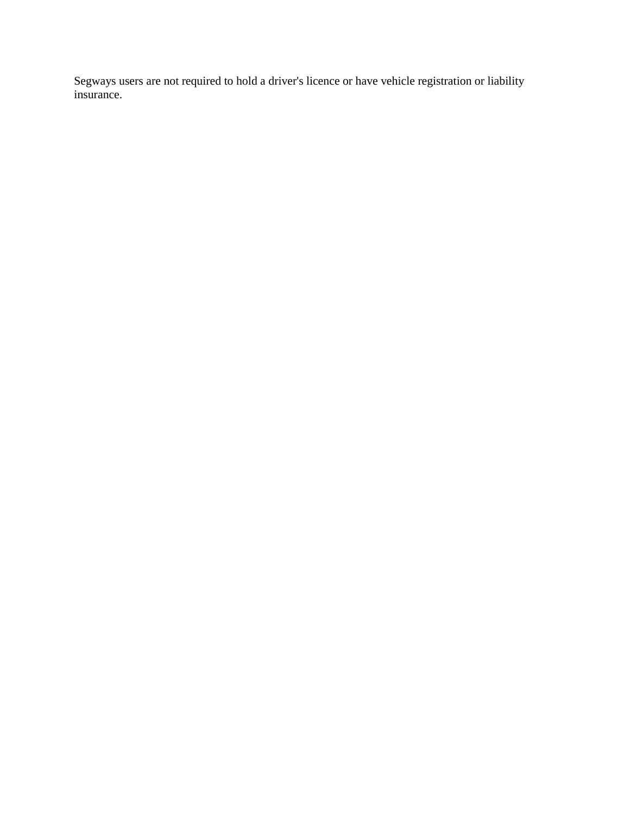Segways users are not required to hold a driver's licence or have vehicle registration or liability insurance.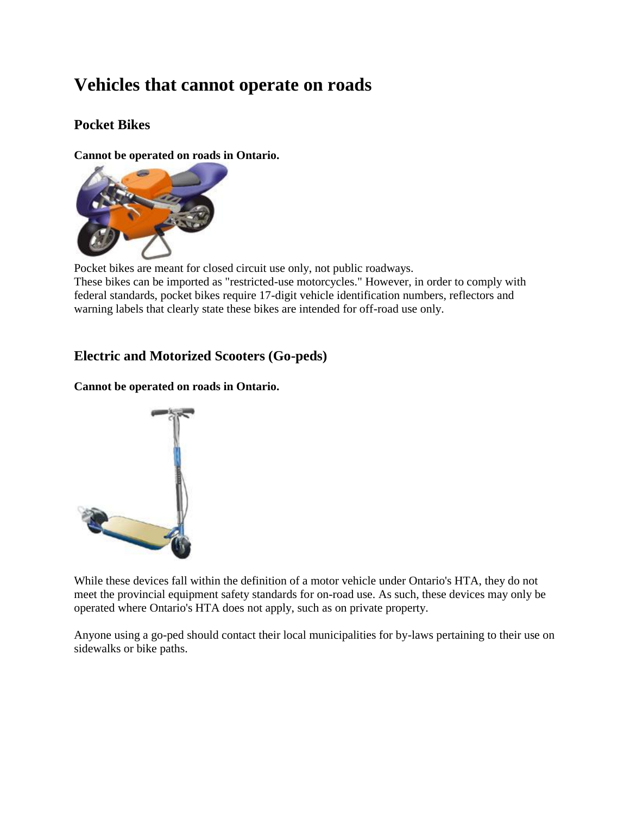# **Vehicles that cannot operate on roads**

# **Pocket Bikes**

**Cannot be operated on roads in Ontario.** 



Pocket bikes are meant for closed circuit use only, not public roadways. These bikes can be imported as "restricted-use motorcycles." However, in order to comply with federal standards, pocket bikes require 17-digit vehicle identification numbers, reflectors and warning labels that clearly state these bikes are intended for off-road use only.

## **Electric and Motorized Scooters (Go-peds)**

**Cannot be operated on roads in Ontario.** 



While these devices fall within the definition of a motor vehicle under Ontario's HTA, they do not meet the provincial equipment safety standards for on-road use. As such, these devices may only be operated where Ontario's HTA does not apply, such as on private property.

Anyone using a go-ped should contact their local municipalities for by-laws pertaining to their use on sidewalks or bike paths.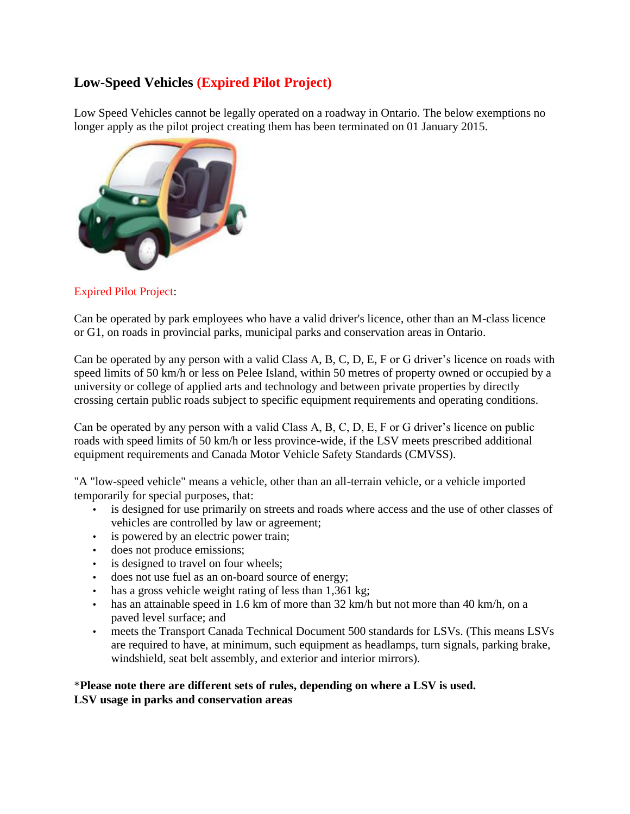# **Low-Speed Vehicles (Expired Pilot Project)**

Low Speed Vehicles cannot be legally operated on a roadway in Ontario. The below exemptions no longer apply as the pilot project creating them has been terminated on 01 January 2015.



## Expired Pilot Project:

Can be operated by park employees who have a valid driver's licence, other than an M-class licence or G1, on roads in provincial parks, municipal parks and conservation areas in Ontario.

Can be operated by any person with a valid Class A, B, C, D, E, F or G driver's licence on roads with speed limits of 50 km/h or less on Pelee Island, within 50 metres of property owned or occupied by a university or college of applied arts and technology and between private properties by directly crossing certain public roads subject to specific equipment requirements and operating conditions.

Can be operated by any person with a valid Class A, B, C, D, E, F or G driver's licence on public roads with speed limits of 50 km/h or less province-wide, if the LSV meets prescribed additional equipment requirements and Canada Motor Vehicle Safety Standards (CMVSS).

"A "low-speed vehicle" means a vehicle, other than an all-terrain vehicle, or a vehicle imported temporarily for special purposes, that:

- is designed for use primarily on streets and roads where access and the use of other classes of vehicles are controlled by law or agreement;
- is powered by an electric power train;
- does not produce emissions;
- is designed to travel on four wheels;
- does not use fuel as an on-board source of energy;
- has a gross vehicle weight rating of less than 1,361 kg;
- has an attainable speed in 1.6 km of more than 32 km/h but not more than 40 km/h, on a paved level surface; and
- meets the Transport Canada Technical Document 500 standards for LSVs. (This means LSVs are required to have, at minimum, such equipment as headlamps, turn signals, parking brake, windshield, seat belt assembly, and exterior and interior mirrors).

#### \***Please note there are different sets of rules, depending on where a LSV is used. LSV usage in parks and conservation areas**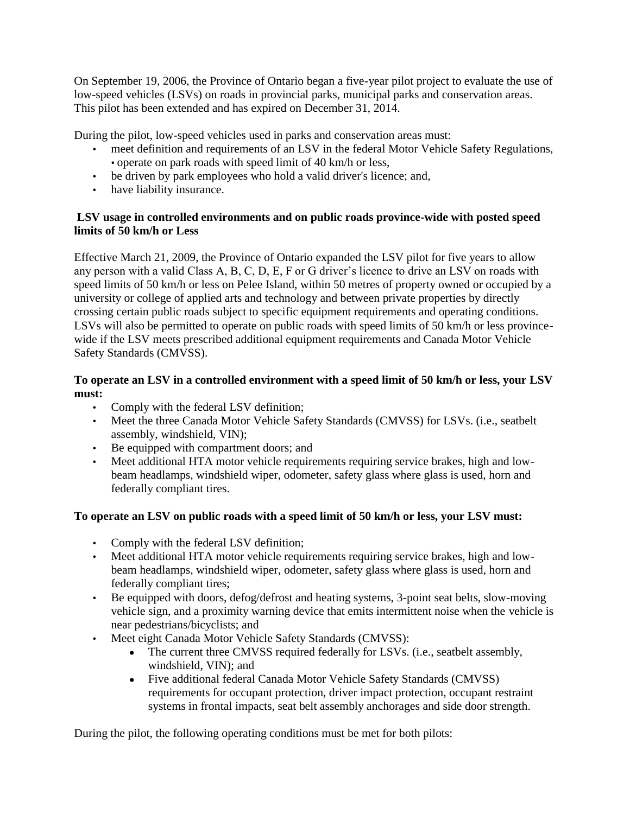On September 19, 2006, the Province of Ontario began a five-year pilot project to evaluate the use of low-speed vehicles (LSVs) on roads in provincial parks, municipal parks and conservation areas. This pilot has been extended and has expired on December 31, 2014.

During the pilot, low-speed vehicles used in parks and conservation areas must:

- meet definition and requirements of an LSV in the federal Motor Vehicle Safety Regulations, • operate on park roads with speed limit of 40 km/h or less,
- be driven by park employees who hold a valid driver's licence; and,
- have liability insurance.

### **LSV usage in controlled environments and on public roads province-wide with posted speed limits of 50 km/h or Less**

Effective March 21, 2009, the Province of Ontario expanded the LSV pilot for five years to allow any person with a valid Class A, B, C, D, E, F or G driver's licence to drive an LSV on roads with speed limits of 50 km/h or less on Pelee Island, within 50 metres of property owned or occupied by a university or college of applied arts and technology and between private properties by directly crossing certain public roads subject to specific equipment requirements and operating conditions. LSVs will also be permitted to operate on public roads with speed limits of 50 km/h or less provincewide if the LSV meets prescribed additional equipment requirements and Canada Motor Vehicle Safety Standards (CMVSS).

## **To operate an LSV in a controlled environment with a speed limit of 50 km/h or less, your LSV must:**

- Comply with the federal LSV definition;
- Meet the three Canada Motor Vehicle Safety Standards (CMVSS) for LSVs. (i.e., seatbelt assembly, windshield, VIN);
- Be equipped with compartment doors; and
- Meet additional HTA motor vehicle requirements requiring service brakes, high and lowbeam headlamps, windshield wiper, odometer, safety glass where glass is used, horn and federally compliant tires.

## **To operate an LSV on public roads with a speed limit of 50 km/h or less, your LSV must:**

- Comply with the federal LSV definition;
- Meet additional HTA motor vehicle requirements requiring service brakes, high and lowbeam headlamps, windshield wiper, odometer, safety glass where glass is used, horn and federally compliant tires;
- Be equipped with doors, defog/defrost and heating systems, 3-point seat belts, slow-moving vehicle sign, and a proximity warning device that emits intermittent noise when the vehicle is near pedestrians/bicyclists; and
- Meet eight Canada Motor Vehicle Safety Standards (CMVSS):
	- The current three CMVSS required federally for LSVs. (i.e., seatbelt assembly,  $\bullet$ windshield, VIN); and
	- Five additional federal Canada Motor Vehicle Safety Standards (CMVSS) requirements for occupant protection, driver impact protection, occupant restraint systems in frontal impacts, seat belt assembly anchorages and side door strength.

During the pilot, the following operating conditions must be met for both pilots: